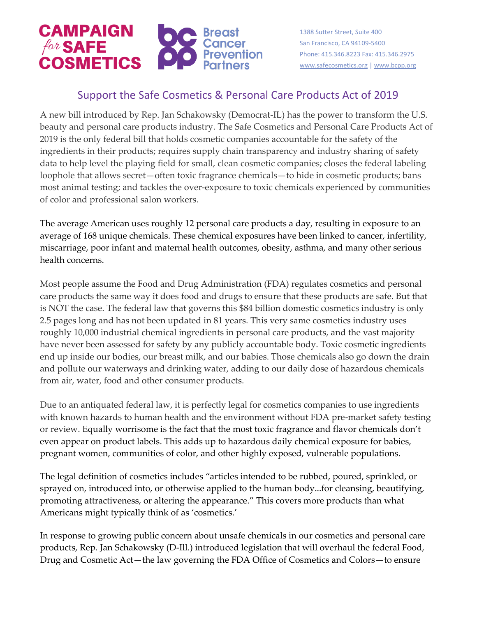

1388 Sutter Street, Suite 400 San Francisco, CA 94109-5400 Phone: 415.346.8223 Fax: 415.346.2975 [www.safecosmetics.org](http://www.safecosmetics.org/) [| www.bcpp.org](http://www.bcpp.org/)

## Support the Safe Cosmetics & Personal Care Products Act of 2019

A new bill introduced by Rep. Jan Schakowsky (Democrat-IL) has the power to transform the U.S. beauty and personal care products industry. The Safe Cosmetics and Personal Care Products Act of 2019 is the only federal bill that holds cosmetic companies accountable for the safety of the ingredients in their products; requires supply chain transparency and industry sharing of safety data to help level the playing field for small, clean cosmetic companies; closes the federal labeling loophole that allows secret—often toxic fragrance chemicals—to hide in cosmetic products; bans most animal testing; and tackles the over-exposure to toxic chemicals experienced by communities of color and professional salon workers.

The average American uses roughly 12 personal care products a day, resulting in exposure to an average of 168 unique chemicals. These chemical exposures have been linked to cancer, infertility, miscarriage, poor infant and maternal health outcomes, obesity, asthma, and many other serious health concerns.

Most people assume the Food and Drug Administration (FDA) regulates cosmetics and personal care products the same way it does food and drugs to ensure that these products are safe. But that is NOT the case. The federal law that governs this \$84 billion domestic cosmetics industry is only 2.5 pages long and has not been updated in 81 years. This very same cosmetics industry uses roughly 10,000 industrial chemical ingredients in personal care products, and the vast majority have never been assessed for safety by any publicly accountable body. Toxic cosmetic ingredients end up inside our bodies, our breast milk, and our babies. Those chemicals also go down the drain and pollute our waterways and drinking water, adding to our daily dose of hazardous chemicals from air, water, food and other consumer products.

Due to an antiquated federal law, it is perfectly legal for cosmetics companies to use ingredients with known hazards to human health and the environment without FDA pre-market safety testing or review. Equally worrisome is the fact that the most toxic fragrance and flavor chemicals don't even appear on product labels. This adds up to hazardous daily chemical exposure for babies, pregnant women, communities of color, and other highly exposed, vulnerable populations.

The legal definition of cosmetics includes "articles intended to be rubbed, poured, sprinkled, or sprayed on, introduced into, or otherwise applied to the human body...for cleansing, beautifying, promoting attractiveness, or altering the appearance." This covers more products than what Americans might typically think of as 'cosmetics.'

In response to growing public concern about unsafe chemicals in our cosmetics and personal care products, Rep. Jan Schakowsky (D-Ill.) introduced legislation that will overhaul the federal Food, Drug and Cosmetic Act—the law governing the FDA Office of Cosmetics and Colors—to ensure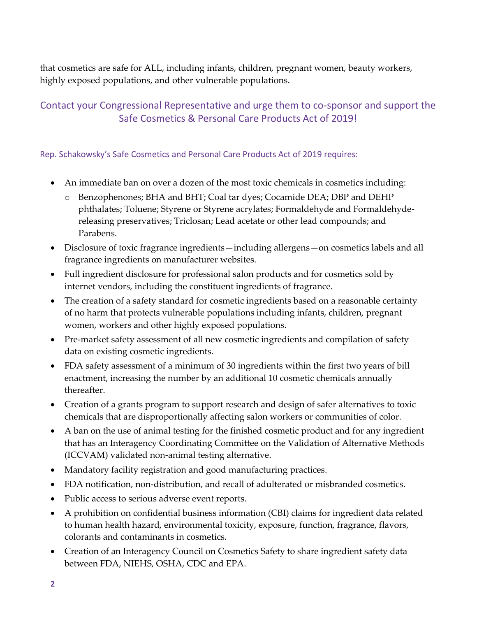that cosmetics are safe for ALL, including infants, children, pregnant women, beauty workers, highly exposed populations, and other vulnerable populations.

## Contact your Congressional Representative and urge them to co-sponsor and support the Safe Cosmetics & Personal Care Products Act of 2019!

## Rep. Schakowsky's Safe Cosmetics and Personal Care Products Act of 2019 requires:

- An immediate ban on over a dozen of the most toxic chemicals in cosmetics including:
	- o Benzophenones; BHA and BHT; Coal tar dyes; Cocamide DEA; DBP and DEHP phthalates; Toluene; Styrene or Styrene acrylates; Formaldehyde and Formaldehydereleasing preservatives; Triclosan; Lead acetate or other lead compounds; and Parabens.
- Disclosure of toxic fragrance ingredients—including allergens—on cosmetics labels and all fragrance ingredients on manufacturer websites.
- Full ingredient disclosure for professional salon products and for cosmetics sold by internet vendors, including the constituent ingredients of fragrance.
- The creation of a safety standard for cosmetic ingredients based on a reasonable certainty of no harm that protects vulnerable populations including infants, children, pregnant women, workers and other highly exposed populations.
- Pre-market safety assessment of all new cosmetic ingredients and compilation of safety data on existing cosmetic ingredients.
- FDA safety assessment of a minimum of 30 ingredients within the first two years of bill enactment, increasing the number by an additional 10 cosmetic chemicals annually thereafter.
- Creation of a grants program to support research and design of safer alternatives to toxic chemicals that are disproportionally affecting salon workers or communities of color.
- A ban on the use of animal testing for the finished cosmetic product and for any ingredient that has an Interagency Coordinating Committee on the Validation of Alternative Methods (ICCVAM) validated non-animal testing alternative.
- Mandatory facility registration and good manufacturing practices.
- FDA notification, non-distribution, and recall of adulterated or misbranded cosmetics.
- Public access to serious adverse event reports.
- A prohibition on confidential business information (CBI) claims for ingredient data related to human health hazard, environmental toxicity, exposure, function, fragrance, flavors, colorants and contaminants in cosmetics.
- Creation of an Interagency Council on Cosmetics Safety to share ingredient safety data between FDA, NIEHS, OSHA, CDC and EPA.